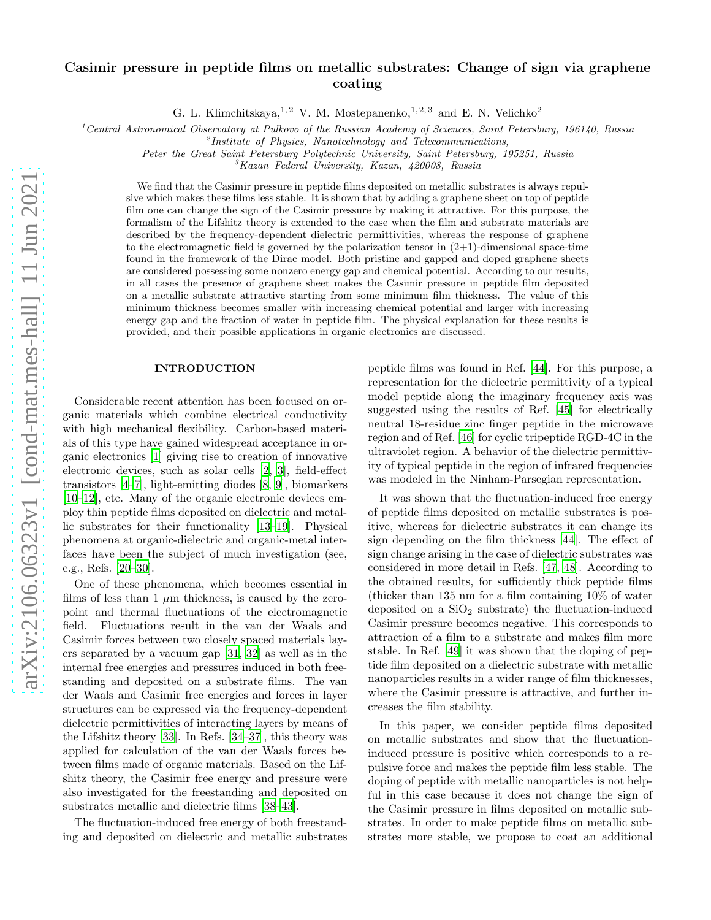# Casimir pressure in peptide films on metallic substrates: Change of sign via graphene coating

G. L. Klimchitskaya, <sup>1, 2</sup> V. M. Mostepanenko, <sup>1, 2, 3</sup> and E. N. Velichko<sup>2</sup>

<sup>1</sup> Central Astronomical Observatory at Pulkovo of the Russian Academy of Sciences, Saint Petersburg, 196140, Russia

 ${}^{2}$ Institute of Physics, Nanotechnology and Telecommunications,

Peter the Great Saint Petersburg Polytechnic University, Saint Petersburg, 195251, Russia

 ${}^{3}K$ azan Federal University, Kazan, 420008, Russia

We find that the Casimir pressure in peptide films deposited on metallic substrates is always repulsive which makes these films less stable. It is shown that by adding a graphene sheet on top of peptide film one can change the sign of the Casimir pressure by making it attractive. For this purpose, the formalism of the Lifshitz theory is extended to the case when the film and substrate materials are described by the frequency-dependent dielectric permittivities, whereas the response of graphene to the electromagnetic field is governed by the polarization tensor in  $(2+1)$ -dimensional space-time found in the framework of the Dirac model. Both pristine and gapped and doped graphene sheets are considered possessing some nonzero energy gap and chemical potential. According to our results, in all cases the presence of graphene sheet makes the Casimir pressure in peptide film deposited on a metallic substrate attractive starting from some minimum film thickness. The value of this minimum thickness becomes smaller with increasing chemical potential and larger with increasing energy gap and the fraction of water in peptide film. The physical explanation for these results is provided, and their possible applications in organic electronics are discussed.

#### INTRODUCTION

Considerable recent attention has been focused on organic materials which combine electrical conductivity with high mechanical flexibility. Carbon-based materials of this type have gained widespread acceptance in organic electronics [\[1](#page-8-0)] giving rise to creation of innovative electronic devices, such as solar cells [\[2,](#page-8-1) [3](#page-8-2)], field-effect transistors [\[4](#page-8-3)[–7\]](#page-8-4), light-emitting diodes [\[8](#page-8-5), [9](#page-8-6)], biomarkers [\[10](#page-8-7)[–12\]](#page-8-8), etc. Many of the organic electronic devices employ thin peptide films deposited on dielectric and metallic substrates for their functionality [\[13](#page-8-9)[–19\]](#page-8-10). Physical phenomena at organic-dielectric and organic-metal interfaces have been the subject of much investigation (see, e.g., Refs. [\[20](#page-8-11)[–30\]](#page-9-0).

One of these phenomena, which becomes essential in films of less than 1  $\mu$ m thickness, is caused by the zeropoint and thermal fluctuations of the electromagnetic field. Fluctuations result in the van der Waals and Casimir forces between two closely spaced materials layers separated by a vacuum gap [\[31,](#page-9-1) [32](#page-9-2)] as well as in the internal free energies and pressures induced in both freestanding and deposited on a substrate films. The van der Waals and Casimir free energies and forces in layer structures can be expressed via the frequency-dependent dielectric permittivities of interacting layers by means of the Lifshitz theory [\[33](#page-9-3)]. In Refs. [\[34](#page-9-4)[–37\]](#page-9-5), this theory was applied for calculation of the van der Waals forces between films made of organic materials. Based on the Lifshitz theory, the Casimir free energy and pressure were also investigated for the freestanding and deposited on substrates metallic and dielectric films [\[38–](#page-9-6)[43\]](#page-9-7).

The fluctuation-induced free energy of both freestanding and deposited on dielectric and metallic substrates peptide films was found in Ref. [\[44](#page-9-8)]. For this purpose, a representation for the dielectric permittivity of a typical model peptide along the imaginary frequency axis was suggested using the results of Ref. [\[45\]](#page-9-9) for electrically neutral 18-residue zinc finger peptide in the microwave region and of Ref. [\[46\]](#page-9-10) for cyclic tripeptide RGD-4C in the ultraviolet region. A behavior of the dielectric permittivity of typical peptide in the region of infrared frequencies was modeled in the Ninham-Parsegian representation.

It was shown that the fluctuation-induced free energy of peptide films deposited on metallic substrates is positive, whereas for dielectric substrates it can change its sign depending on the film thickness [\[44\]](#page-9-8). The effect of sign change arising in the case of dielectric substrates was considered in more detail in Refs. [\[47,](#page-9-11) [48\]](#page-9-12). According to the obtained results, for sufficiently thick peptide films (thicker than 135 nm for a film containing 10% of water deposited on a  $SiO<sub>2</sub>$  substrate) the fluctuation-induced Casimir pressure becomes negative. This corresponds to attraction of a film to a substrate and makes film more stable. In Ref. [\[49\]](#page-9-13) it was shown that the doping of peptide film deposited on a dielectric substrate with metallic nanoparticles results in a wider range of film thicknesses, where the Casimir pressure is attractive, and further increases the film stability.

In this paper, we consider peptide films deposited on metallic substrates and show that the fluctuationinduced pressure is positive which corresponds to a repulsive force and makes the peptide film less stable. The doping of peptide with metallic nanoparticles is not helpful in this case because it does not change the sign of the Casimir pressure in films deposited on metallic substrates. In order to make peptide films on metallic substrates more stable, we propose to coat an additional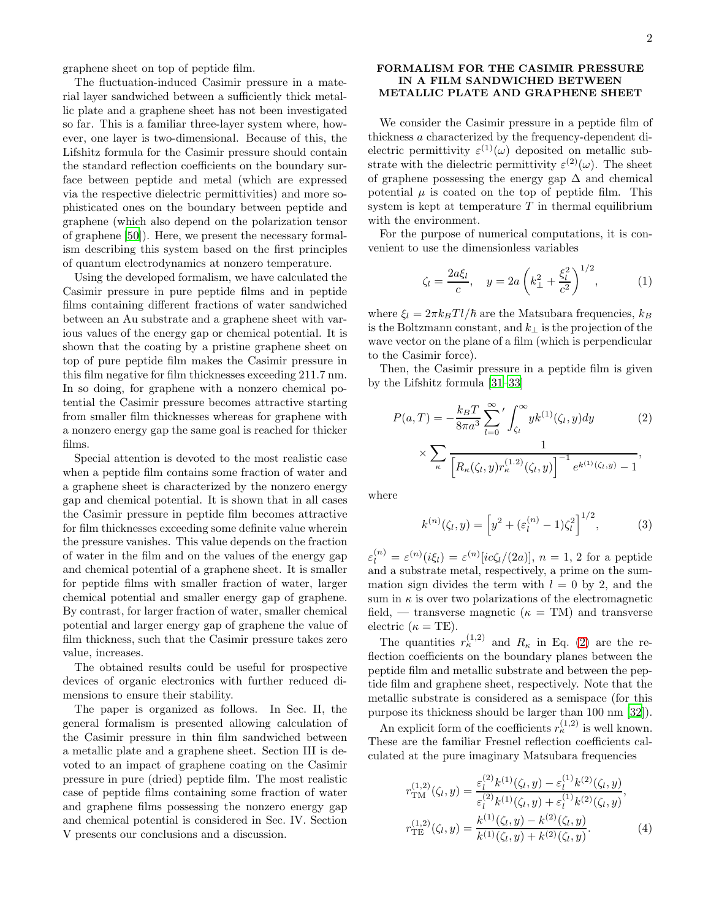graphene sheet on top of peptide film.

The fluctuation-induced Casimir pressure in a material layer sandwiched between a sufficiently thick metallic plate and a graphene sheet has not been investigated so far. This is a familiar three-layer system where, however, one layer is two-dimensional. Because of this, the Lifshitz formula for the Casimir pressure should contain the standard reflection coefficients on the boundary surface between peptide and metal (which are expressed via the respective dielectric permittivities) and more sophisticated ones on the boundary between peptide and graphene (which also depend on the polarization tensor of graphene [\[50\]](#page-9-14)). Here, we present the necessary formalism describing this system based on the first principles of quantum electrodynamics at nonzero temperature.

Using the developed formalism, we have calculated the Casimir pressure in pure peptide films and in peptide films containing different fractions of water sandwiched between an Au substrate and a graphene sheet with various values of the energy gap or chemical potential. It is shown that the coating by a pristine graphene sheet on top of pure peptide film makes the Casimir pressure in this film negative for film thicknesses exceeding 211.7 nm. In so doing, for graphene with a nonzero chemical potential the Casimir pressure becomes attractive starting from smaller film thicknesses whereas for graphene with a nonzero energy gap the same goal is reached for thicker films.

Special attention is devoted to the most realistic case when a peptide film contains some fraction of water and a graphene sheet is characterized by the nonzero energy gap and chemical potential. It is shown that in all cases the Casimir pressure in peptide film becomes attractive for film thicknesses exceeding some definite value wherein the pressure vanishes. This value depends on the fraction of water in the film and on the values of the energy gap and chemical potential of a graphene sheet. It is smaller for peptide films with smaller fraction of water, larger chemical potential and smaller energy gap of graphene. By contrast, for larger fraction of water, smaller chemical potential and larger energy gap of graphene the value of film thickness, such that the Casimir pressure takes zero value, increases.

The obtained results could be useful for prospective devices of organic electronics with further reduced dimensions to ensure their stability.

The paper is organized as follows. In Sec. II, the general formalism is presented allowing calculation of the Casimir pressure in thin film sandwiched between a metallic plate and a graphene sheet. Section III is devoted to an impact of graphene coating on the Casimir pressure in pure (dried) peptide film. The most realistic case of peptide films containing some fraction of water and graphene films possessing the nonzero energy gap and chemical potential is considered in Sec. IV. Section V presents our conclusions and a discussion.

## FORMALISM FOR THE CASIMIR PRESSURE IN A FILM SANDWICHED BETWEEN METALLIC PLATE AND GRAPHENE SHEET

We consider the Casimir pressure in a peptide film of thickness a characterized by the frequency-dependent dielectric permittivity  $\varepsilon^{(1)}(\omega)$  deposited on metallic substrate with the dielectric permittivity  $\varepsilon^{(2)}(\omega)$ . The sheet of graphene possessing the energy gap  $\Delta$  and chemical potential  $\mu$  is coated on the top of peptide film. This system is kept at temperature  $T$  in thermal equilibrium with the environment.

For the purpose of numerical computations, it is convenient to use the dimensionless variables

$$
\zeta_l = \frac{2a\xi_l}{c}, \quad y = 2a\left(k_{\perp}^2 + \frac{\xi_l^2}{c^2}\right)^{1/2},\tag{1}
$$

where  $\xi_l = 2\pi k_B T l/\hbar$  are the Matsubara frequencies,  $k_B$ is the Boltzmann constant, and  $k_{\perp}$  is the projection of the wave vector on the plane of a film (which is perpendicular to the Casimir force).

Then, the Casimir pressure in a peptide film is given by the Lifshitz formula [\[31](#page-9-1)[–33](#page-9-3)]

<span id="page-1-0"></span>
$$
P(a,T) = -\frac{k_B T}{8\pi a^3} \sum_{l=0}^{\infty} ' \int_{\zeta_l}^{\infty} y k^{(1)}(\zeta_l, y) dy \qquad (2)
$$

$$
\times \sum_{\kappa} \frac{1}{\left[ R_{\kappa}(\zeta_l, y) r_{\kappa}^{(1.2)}(\zeta_l, y) \right]^{-1} e^{k^{(1)}(\zeta_l, y)} - 1},
$$

where

$$
k^{(n)}(\zeta_l, y) = \left[ y^2 + (\varepsilon_l^{(n)} - 1)\zeta_l^2 \right]^{1/2}, \tag{3}
$$

 $\varepsilon_l^{(n)} = \varepsilon^{(n)}(i\xi_l) = \varepsilon^{(n)}[ic\zeta_l/(2a)], n = 1, 2$  for a peptide and a substrate metal, respectively, a prime on the summation sign divides the term with  $l = 0$  by 2, and the sum in  $\kappa$  is over two polarizations of the electromagnetic field, — transverse magnetic  $(\kappa = TM)$  and transverse electric  $(\kappa = TE)$ .

The quantities  $r_{\kappa}^{(1,2)}$  and  $R_{\kappa}$  in Eq. [\(2\)](#page-1-0) are the reflection coefficients on the boundary planes between the peptide film and metallic substrate and between the peptide film and graphene sheet, respectively. Note that the metallic substrate is considered as a semispace (for this purpose its thickness should be larger than 100 nm [\[32\]](#page-9-2)).

An explicit form of the coefficients  $r_{\kappa}^{(1,2)}$  is well known. These are the familiar Fresnel reflection coefficients calculated at the pure imaginary Matsubara frequencies

<span id="page-1-1"></span>
$$
r_{\rm TM}^{(1,2)}(\zeta_l, y) = \frac{\varepsilon_l^{(2)} k^{(1)}(\zeta_l, y) - \varepsilon_l^{(1)} k^{(2)}(\zeta_l, y)}{\varepsilon_l^{(2)} k^{(1)}(\zeta_l, y) + \varepsilon_l^{(1)} k^{(2)}(\zeta_l, y)},
$$
  

$$
r_{\rm TE}^{(1,2)}(\zeta_l, y) = \frac{k^{(1)}(\zeta_l, y) - k^{(2)}(\zeta_l, y)}{k^{(1)}(\zeta_l, y) + k^{(2)}(\zeta_l, y)}.
$$
 (4)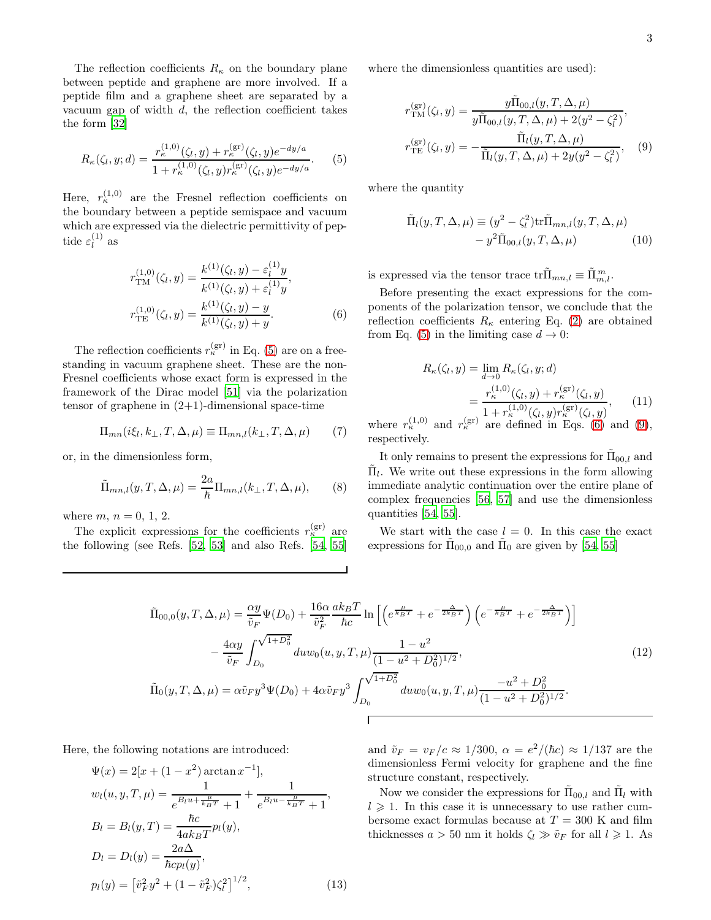The reflection coefficients  $R_{\kappa}$  on the boundary plane between peptide and graphene are more involved. If a peptide film and a graphene sheet are separated by a vacuum gap of width  $d$ , the reflection coefficient takes the form [\[32\]](#page-9-2)

<span id="page-2-0"></span>
$$
R_{\kappa}(\zeta_l, y; d) = \frac{r_{\kappa}^{(1,0)}(\zeta_l, y) + r_{\kappa}^{(\text{gr})}(\zeta_l, y)e^{-dy/a}}{1 + r_{\kappa}^{(1,0)}(\zeta_l, y)r_{\kappa}^{(\text{gr})}(\zeta_l, y)e^{-dy/a}}.
$$
(5)

Here,  $r_{\kappa}^{(1,0)}$  are the Fresnel reflection coefficients on the boundary between a peptide semispace and vacuum which are expressed via the dielectric permittivity of peptide  $\varepsilon_l^{(1)}$  $\iota^{(1)}$  as

<span id="page-2-1"></span>
$$
r_{\rm TM}^{(1,0)}(\zeta_l, y) = \frac{k^{(1)}(\zeta_l, y) - \varepsilon_l^{(1)}y}{k^{(1)}(\zeta_l, y) + \varepsilon_l^{(1)}y},
$$
  

$$
r_{\rm TE}^{(1,0)}(\zeta_l, y) = \frac{k^{(1)}(\zeta_l, y) - y}{k^{(1)}(\zeta_l, y) + y}.
$$
 (6)

 $(1)$ 

The reflection coefficients  $r_{\kappa}^{(\text{gr})}$  in Eq. [\(5\)](#page-2-0) are on a freestanding in vacuum graphene sheet. These are the non-Fresnel coefficients whose exact form is expressed in the framework of the Dirac model [\[51](#page-9-15)] via the polarization tensor of graphene in  $(2+1)$ -dimensional space-time

$$
\Pi_{mn}(i\xi_l, k_\perp, T, \Delta, \mu) \equiv \Pi_{mn,l}(k_\perp, T, \Delta, \mu) \tag{7}
$$

or, in the dimensionless form,

$$
\tilde{\Pi}_{mn,l}(y,T,\Delta,\mu) = \frac{2a}{\hbar} \Pi_{mn,l}(k_{\perp},T,\Delta,\mu),\qquad(8)
$$

where  $m, n = 0, 1, 2$ .

The explicit expressions for the coefficients  $r_{\kappa}^{(\text{gr})}$  are the following (see Refs. [\[52,](#page-9-16) [53\]](#page-9-17) and also Refs. [\[54](#page-9-18), [55](#page-9-19)]

where the dimensionless quantities are used):

<span id="page-2-2"></span>
$$
r_{\rm TM}^{(\rm gr)}(\zeta_l, y) = \frac{y \tilde{\Pi}_{00,l}(y, T, \Delta, \mu)}{y \tilde{\Pi}_{00,l}(y, T, \Delta, \mu) + 2(y^2 - \zeta_l^2)},
$$
  

$$
r_{\rm TE}^{(\rm gr)}(\zeta_l, y) = -\frac{\tilde{\Pi}_l(y, T, \Delta, \mu)}{\tilde{\Pi}_l(y, T, \Delta, \mu) + 2y(y^2 - \zeta_l^2)},
$$
 (9)

where the quantity

$$
\tilde{\Pi}_l(y, T, \Delta, \mu) \equiv (y^2 - \zeta_l^2) \text{tr} \tilde{\Pi}_{mn,l}(y, T, \Delta, \mu) \n- y^2 \tilde{\Pi}_{00,l}(y, T, \Delta, \mu)
$$
\n(10)

is expressed via the tensor trace  $\text{tr}\tilde{\Pi}_{mn,l} \equiv \tilde{\Pi}_{m,l}^m$ .

Before presenting the exact expressions for the components of the polarization tensor, we conclude that the reflection coefficients  $R_{\kappa}$  entering Eq. [\(2\)](#page-1-0) are obtained from Eq. [\(5\)](#page-2-0) in the limiting case  $d \to 0$ :

<span id="page-2-4"></span>
$$
R_{\kappa}(\zeta_l, y) = \lim_{d \to 0} R_{\kappa}(\zeta_l, y; d)
$$
  
= 
$$
\frac{r_{\kappa}^{(1,0)}(\zeta_l, y) + r_{\kappa}^{(\text{gr})}(\zeta_l, y)}{1 + r_{\kappa}^{(1,0)}(\zeta_l, y) r_{\kappa}^{(\text{gr})}(\zeta_l, y)},
$$
(11)

where  $r_{\kappa}^{(1,0)}$  and  $r_{\kappa}^{(\text{gr})}$  are defined in Eqs. [\(6\)](#page-2-1) and [\(9\)](#page-2-2), respectively.

It only remains to present the expressions for  $\tilde{\Pi}_{00,l}$  and  $\tilde{\Pi}_l$ . We write out these expressions in the form allowing immediate analytic continuation over the entire plane of complex frequencies [\[56,](#page-9-20) [57](#page-9-21)] and use the dimensionless quantities [\[54,](#page-9-18) [55\]](#page-9-19).

We start with the case  $l = 0$ . In this case the exact expressions for  $\tilde{\Pi}_{00,0}$  and  $\tilde{\Pi}_{0}$  are given by [\[54,](#page-9-18) [55\]](#page-9-19)

<span id="page-2-3"></span>
$$
\tilde{\Pi}_{00,0}(y,T,\Delta,\mu) = \frac{\alpha y}{\tilde{v}_F} \Psi(D_0) + \frac{16\alpha}{\tilde{v}_F^2} \frac{ak_B T}{\hbar c} \ln \left[ \left( e^{\frac{\mu}{k_B T}} + e^{-\frac{\Delta}{2k_B T}} \right) \left( e^{-\frac{\mu}{k_B T}} + e^{-\frac{\Delta}{2k_B T}} \right) \right] \n- \frac{4\alpha y}{\tilde{v}_F} \int_{D_0}^{\sqrt{1+D_0^2}} du w_0(u,y,T,\mu) \frac{1-u^2}{(1-u^2+D_0^2)^{1/2}},
$$
\n
$$
\tilde{\Pi}_0(y,T,\Delta,\mu) = \alpha \tilde{v}_F y^3 \Psi(D_0) + 4\alpha \tilde{v}_F y^3 \int_{D_0}^{\sqrt{1+D_0^2}} du w_0(u,y,T,\mu) \frac{-u^2+D_0^2}{(1-u^2+D_0^2)^{1/2}}.
$$
\n(12)

Here, the following notations are introduced:

<span id="page-2-5"></span>
$$
\Psi(x) = 2[x + (1 - x^2) \arctan x^{-1}],
$$
  
\n
$$
w_l(u, y, T, \mu) = \frac{1}{e^{B_l u + \frac{\mu}{k_B T}} + 1} + \frac{1}{e^{B_l u - \frac{\mu}{k_B T}} + 1},
$$
  
\n
$$
B_l = B_l(y, T) = \frac{\hbar c}{4a k_B T} p_l(y),
$$
  
\n
$$
D_l = D_l(y) = \frac{2a\Delta}{\hbar c p_l(y)},
$$
  
\n
$$
p_l(y) = \left[\tilde{v}_F^2 y^2 + (1 - \tilde{v}_F^2) \zeta_l^2\right]^{1/2},
$$
\n(13)

and  $\tilde{v}_F = v_F/c \approx 1/300$ ,  $\alpha = e^2/(\hbar c) \approx 1/137$  are the dimensionless Fermi velocity for graphene and the fine structure constant, respectively.

Now we consider the expressions for  $\tilde{\Pi}_{00,l}$  and  $\tilde{\Pi}_l$  with  $l \geq 1$ . In this case it is unnecessary to use rather cumbersome exact formulas because at  $T = 300$  K and film thicknesses  $a > 50$  nm it holds  $\zeta_l \gg \tilde{v}_F$  for all  $l \geq 1$ . As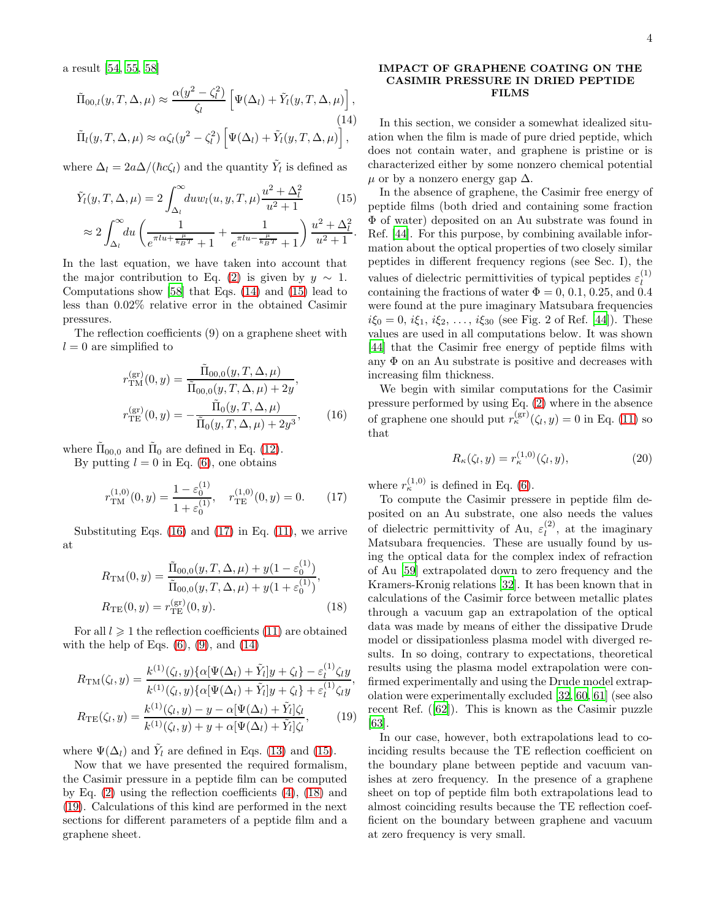a result [\[54,](#page-9-18) [55,](#page-9-19) [58\]](#page-9-22)

<span id="page-3-0"></span>
$$
\tilde{\Pi}_{00,l}(y,T,\Delta,\mu) \approx \frac{\alpha(y^2 - \zeta_l^2)}{\zeta_l} \left[ \Psi(\Delta_l) + \tilde{Y}_l(y,T,\Delta,\mu) \right],
$$
\n(14)  
\n
$$
\tilde{\Pi}_l(y,T,\Delta,\mu) \approx \alpha \zeta_l(y^2 - \zeta_l^2) \left[ \Psi(\Delta_l) + \tilde{Y}_l(y,T,\Delta,\mu) \right],
$$

where  $\Delta_l = 2a\Delta/(\hbar c \zeta_l)$  and the quantity  $\tilde{Y}_l$  is defined as

<span id="page-3-1"></span>
$$
\tilde{Y}_l(y, T, \Delta, \mu) = 2 \int_{\Delta_l}^{\infty} du w_l(u, y, T, \mu) \frac{u^2 + \Delta_l^2}{u^2 + 1} \qquad (15)
$$
\n
$$
\approx 2 \int_{0}^{\infty} du \left( \frac{1}{\frac{-du + \mu}{u}} + \frac{1}{\frac{-du - \mu}{u}} \right) \frac{u^2 + \Delta_l^2}{u^2 + 1}.
$$

$$
\approx 2 \int_{\Delta_l} du \left( \frac{1}{e^{\pi l u + \frac{\mu}{k_B T}} + 1} + \frac{1}{e^{\pi l u - \frac{\mu}{k_B T}} + 1} \right) \frac{u + \Delta_l}{u^2 + 1}.
$$

In the last equation, we have taken into account that the major contribution to Eq. [\(2\)](#page-1-0) is given by  $y \sim 1$ . Computations show [\[58\]](#page-9-22) that Eqs. [\(14\)](#page-3-0) and [\(15\)](#page-3-1) lead to less than 0.02% relative error in the obtained Casimir pressures.

The reflection coefficients (9) on a graphene sheet with  $l = 0$  are simplified to

<span id="page-3-2"></span>
$$
r_{\rm TM}^{\rm (gr)}(0, y) = \frac{\tilde{\Pi}_{00,0}(y, T, \Delta, \mu)}{\tilde{\Pi}_{00,0}(y, T, \Delta, \mu) + 2y},
$$
  

$$
r_{\rm TE}^{\rm (gr)}(0, y) = -\frac{\tilde{\Pi}_{0}(y, T, \Delta, \mu)}{\tilde{\Pi}_{0}(y, T, \Delta, \mu) + 2y^{3}},
$$
(16)

where  $\tilde{\Pi}_{00,0}$  and  $\tilde{\Pi}_{0}$  are defined in Eq. [\(12\)](#page-2-3).

By putting  $l = 0$  in Eq. [\(6\)](#page-2-1), one obtains

<span id="page-3-3"></span>
$$
r_{\rm TM}^{(1,0)}(0,y) = \frac{1 - \varepsilon_0^{(1)}}{1 + \varepsilon_0^{(1)}}, \quad r_{\rm TE}^{(1,0)}(0,y) = 0. \tag{17}
$$

Substituting Eqs.  $(16)$  and  $(17)$  in Eq.  $(11)$ , we arrive at

<span id="page-3-4"></span>
$$
R_{\rm TM}(0, y) = \frac{\tilde{\Pi}_{00,0}(y, T, \Delta, \mu) + y(1 - \varepsilon_0^{(1)})}{\tilde{\Pi}_{00,0}(y, T, \Delta, \mu) + y(1 + \varepsilon_0^{(1)})},
$$
  
\n
$$
R_{\rm TE}(0, y) = r_{\rm TE}^{(\rm gr)}(0, y). \tag{18}
$$

For all  $l \geq 1$  the reflection coefficients [\(11\)](#page-2-4) are obtained with the help of Eqs.  $(6)$ ,  $(9)$ , and  $(14)$ 

<span id="page-3-5"></span>
$$
R_{\rm TM}(\zeta_l, y) = \frac{k^{(1)}(\zeta_l, y) \{ \alpha [\Psi(\Delta_l) + \tilde{Y}_l] y + \zeta_l \} - \varepsilon_l^{(1)} \zeta_l y}{k^{(1)}(\zeta_l, y) \{ \alpha [\Psi(\Delta_l) + \tilde{Y}_l] y + \zeta_l \} + \varepsilon_l^{(1)} \zeta_l y},
$$
  

$$
R_{\rm TE}(\zeta_l, y) = \frac{k^{(1)}(\zeta_l, y) - y - \alpha [\Psi(\Delta_l) + \tilde{Y}_l] \zeta_l}{k^{(1)}(\zeta_l, y) + y + \alpha [\Psi(\Delta_l) + \tilde{Y}_l] \zeta_l},
$$
(19)

where  $\Psi(\Delta_l)$  and  $\tilde{Y}_l$  are defined in Eqs. [\(13\)](#page-2-5) and [\(15\)](#page-3-1).

Now that we have presented the required formalism, the Casimir pressure in a peptide film can be computed by Eq.  $(2)$  using the reflection coefficients  $(4)$ ,  $(18)$  and [\(19\)](#page-3-5). Calculations of this kind are performed in the next sections for different parameters of a peptide film and a graphene sheet.

#### IMPACT OF GRAPHENE COATING ON THE CASIMIR PRESSURE IN DRIED PEPTIDE FILMS

In this section, we consider a somewhat idealized situation when the film is made of pure dried peptide, which does not contain water, and graphene is pristine or is characterized either by some nonzero chemical potential  $\mu$  or by a nonzero energy gap  $\Delta$ .

In the absence of graphene, the Casimir free energy of peptide films (both dried and containing some fraction Φ of water) deposited on an Au substrate was found in Ref. [\[44](#page-9-8)]. For this purpose, by combining available information about the optical properties of two closely similar peptides in different frequency regions (see Sec. I), the values of dielectric permittivities of typical peptides  $\varepsilon_l^{(1)}$ l containing the fractions of water  $\Phi = 0, 0.1, 0.25, \text{ and } 0.4$ were found at the pure imaginary Matsubara frequencies  $i\xi_0 = 0, i\xi_1, i\xi_2, \ldots, i\xi_{30}$  (see Fig. 2 of Ref. [\[44\]](#page-9-8)). These values are used in all computations below. It was shown [\[44\]](#page-9-8) that the Casimir free energy of peptide films with any  $\Phi$  on an Au substrate is positive and decreases with increasing film thickness.

We begin with similar computations for the Casimir pressure performed by using Eq. [\(2\)](#page-1-0) where in the absence of graphene one should put  $r_{\kappa}^{(\text{gr})}(\zeta_l, y) = 0$  in Eq. [\(11\)](#page-2-4) so that

$$
R_{\kappa}(\zeta_l, y) = r_{\kappa}^{(1,0)}(\zeta_l, y), \qquad (20)
$$

where  $r_{\kappa}^{(1,0)}$  is defined in Eq. [\(6\)](#page-2-1).

To compute the Casimir pressere in peptide film deposited on an Au substrate, one also needs the values of dielectric permittivity of Au,  $\varepsilon_l^{(2)}$  $\binom{2}{l}$ , at the imaginary Matsubara frequencies. These are usually found by using the optical data for the complex index of refraction of Au [\[59\]](#page-9-23) extrapolated down to zero frequency and the Kramers-Kronig relations [\[32\]](#page-9-2). It has been known that in calculations of the Casimir force between metallic plates through a vacuum gap an extrapolation of the optical data was made by means of either the dissipative Drude model or dissipationless plasma model with diverged results. In so doing, contrary to expectations, theoretical results using the plasma model extrapolation were confirmed experimentally and using the Drude model extrapolation were experimentally excluded [\[32](#page-9-2), [60](#page-9-24), [61](#page-9-25)] (see also recent Ref. ([\[62](#page-10-0)]). This is known as the Casimir puzzle [\[63\]](#page-10-1).

In our case, however, both extrapolations lead to coinciding results because the TE reflection coefficient on the boundary plane between peptide and vacuum vanishes at zero frequency. In the presence of a graphene sheet on top of peptide film both extrapolations lead to almost coinciding results because the TE reflection coefficient on the boundary between graphene and vacuum at zero frequency is very small.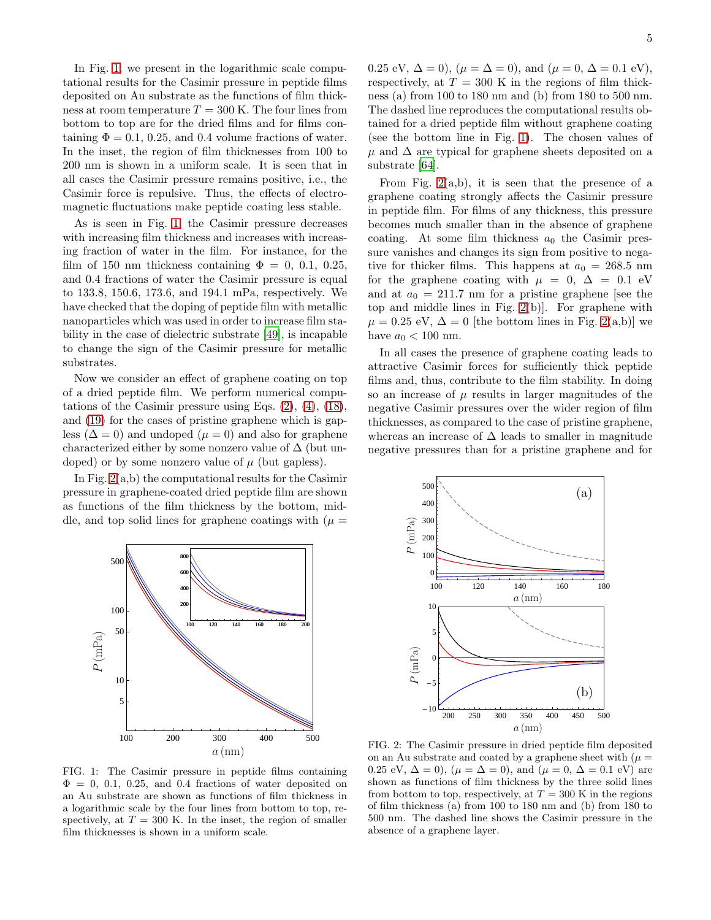In Fig. [1,](#page-4-0) we present in the logarithmic scale computational results for the Casimir pressure in peptide films deposited on Au substrate as the functions of film thickness at room temperature  $T = 300$  K. The four lines from bottom to top are for the dried films and for films containing  $\Phi = 0.1, 0.25,$  and 0.4 volume fractions of water. In the inset, the region of film thicknesses from 100 to 200 nm is shown in a uniform scale. It is seen that in all cases the Casimir pressure remains positive, i.e., the Casimir force is repulsive. Thus, the effects of electromagnetic fluctuations make peptide coating less stable.

As is seen in Fig. [1,](#page-4-0) the Casimir pressure decreases with increasing film thickness and increases with increasing fraction of water in the film. For instance, for the film of 150 nm thickness containing  $\Phi = 0, 0.1, 0.25,$ and 0.4 fractions of water the Casimir pressure is equal to 133.8, 150.6, 173.6, and 194.1 mPa, respectively. We have checked that the doping of peptide film with metallic nanoparticles which was used in order to increase film stability in the case of dielectric substrate [\[49\]](#page-9-13), is incapable to change the sign of the Casimir pressure for metallic substrates.

Now we consider an effect of graphene coating on top of a dried peptide film. We perform numerical computations of the Casimir pressure using Eqs. [\(2\)](#page-1-0), [\(4\)](#page-1-1), [\(18\)](#page-3-4), and [\(19\)](#page-3-5) for the cases of pristine graphene which is gapless ( $\Delta = 0$ ) and undoped ( $\mu = 0$ ) and also for graphene characterized either by some nonzero value of  $\Delta$  (but undoped) or by some nonzero value of  $\mu$  (but gapless).

In Fig. [2\(](#page-4-1)a,b) the computational results for the Casimir pressure in graphene-coated dried peptide film are shown as functions of the film thickness by the bottom, middle, and top solid lines for graphene coatings with  $(\mu =$ 



<span id="page-4-0"></span>FIG. 1: The Casimir pressure in peptide films containing  $\Phi = 0, 0.1, 0.25,$  and 0.4 fractions of water deposited on an Au substrate are shown as functions of film thickness in a logarithmic scale by the four lines from bottom to top, respectively, at  $T = 300$  K. In the inset, the region of smaller film thicknesses is shown in a uniform scale.

0.25 eV,  $\Delta = 0$ ,  $(\mu = \Delta = 0)$ , and  $(\mu = 0, \Delta = 0.1 \text{ eV})$ , respectively, at  $T = 300$  K in the regions of film thickness (a) from 100 to 180 nm and (b) from 180 to 500 nm. The dashed line reproduces the computational results obtained for a dried peptide film without graphene coating (see the bottom line in Fig. [1\)](#page-4-0). The chosen values of  $\mu$  and  $\Delta$  are typical for graphene sheets deposited on a substrate [\[64](#page-10-2)].

From Fig.  $2(a,b)$ , it is seen that the presence of a graphene coating strongly affects the Casimir pressure in peptide film. For films of any thickness, this pressure becomes much smaller than in the absence of graphene coating. At some film thickness  $a_0$  the Casimir pressure vanishes and changes its sign from positive to negative for thicker films. This happens at  $a_0 = 268.5$  nm for the graphene coating with  $\mu = 0, \Delta = 0.1$  eV and at  $a_0 = 211.7$  nm for a pristine graphene [see the top and middle lines in Fig. [2\(](#page-4-1)b)]. For graphene with  $\mu = 0.25$  eV,  $\Delta = 0$  [the bottom lines in Fig. [2\(](#page-4-1)a,b)] we have  $a_0 < 100$  nm.

In all cases the presence of graphene coating leads to attractive Casimir forces for sufficiently thick peptide films and, thus, contribute to the film stability. In doing so an increase of  $\mu$  results in larger magnitudes of the negative Casimir pressures over the wider region of film thicknesses, as compared to the case of pristine graphene, whereas an increase of  $\Delta$  leads to smaller in magnitude negative pressures than for a pristine graphene and for



<span id="page-4-1"></span>FIG. 2: The Casimir pressure in dried peptide film deposited on an Au substrate and coated by a graphene sheet with  $(\mu =$ 0.25 eV,  $\Delta = 0$ ,  $(\mu = \Delta = 0)$ , and  $(\mu = 0, \Delta = 0.1 \text{ eV})$  are shown as functions of film thickness by the three solid lines from bottom to top, respectively, at  $T = 300$  K in the regions of film thickness (a) from 100 to 180 nm and (b) from 180 to 500 nm. The dashed line shows the Casimir pressure in the absence of a graphene layer.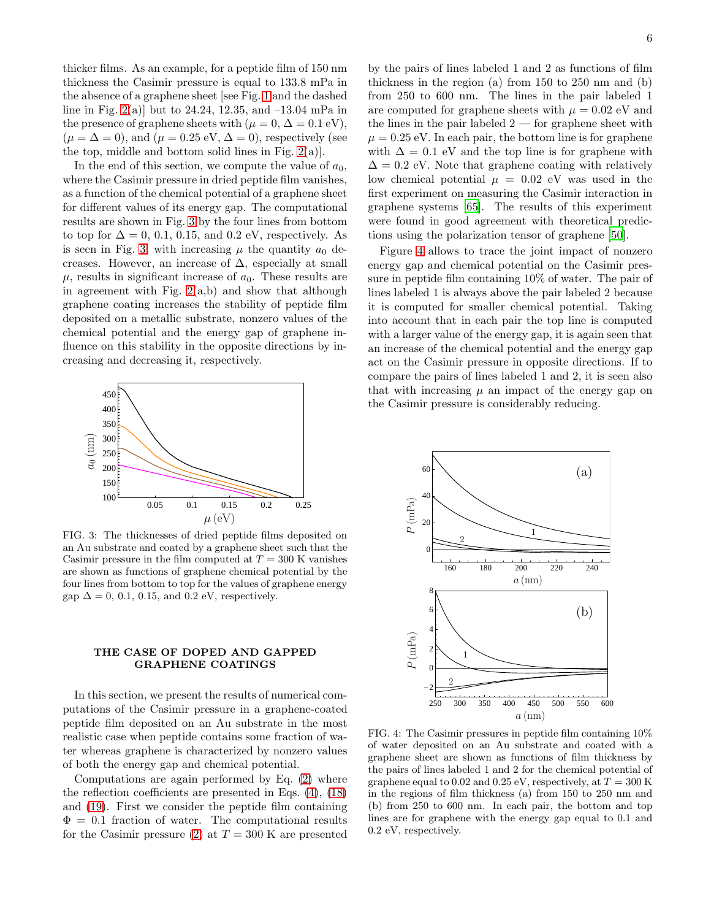thicker films. As an example, for a peptide film of 150 nm thickness the Casimir pressure is equal to 133.8 mPa in the absence of a graphene sheet [see Fig. [1](#page-4-0) and the dashed line in Fig. [2\(](#page-4-1)a)] but to 24.24, 12.35, and  $-13.04$  mPa in the presence of graphene sheets with  $(\mu = 0, \Delta = 0.1 \text{ eV})$ ,  $(\mu = \Delta = 0)$ , and  $(\mu = 0.25 \text{ eV}, \Delta = 0)$ , respectively (see the top, middle and bottom solid lines in Fig.  $2(a)$ .

In the end of this section, we compute the value of  $a_0$ , where the Casimir pressure in dried peptide film vanishes, as a function of the chemical potential of a graphene sheet for different values of its energy gap. The computational results are shown in Fig. [3](#page-5-0) by the four lines from bottom to top for  $\Delta = 0, 0.1, 0.15,$  and  $0.2$  eV, respectively. As is seen in Fig. [3,](#page-5-0) with increasing  $\mu$  the quantity  $a_0$  decreases. However, an increase of  $\Delta$ , especially at small  $\mu$ , results in significant increase of  $a_0$ . These results are in agreement with Fig.  $2(a,b)$  and show that although graphene coating increases the stability of peptide film deposited on a metallic substrate, nonzero values of the chemical potential and the energy gap of graphene influence on this stability in the opposite directions by increasing and decreasing it, respectively.



<span id="page-5-0"></span>FIG. 3: The thicknesses of dried peptide films deposited on an Au substrate and coated by a graphene sheet such that the Casimir pressure in the film computed at  $T = 300$  K vanishes are shown as functions of graphene chemical potential by the four lines from bottom to top for the values of graphene energy gap  $\Delta = 0$ , 0.1, 0.15, and 0.2 eV, respectively.

### THE CASE OF DOPED AND GAPPED GRAPHENE COATINGS

In this section, we present the results of numerical computations of the Casimir pressure in a graphene-coated peptide film deposited on an Au substrate in the most realistic case when peptide contains some fraction of water whereas graphene is characterized by nonzero values of both the energy gap and chemical potential.

Computations are again performed by Eq. [\(2\)](#page-1-0) where the reflection coefficients are presented in Eqs. [\(4\)](#page-1-1), [\(18\)](#page-3-4) and [\(19\)](#page-3-5). First we consider the peptide film containing  $\Phi = 0.1$  fraction of water. The computational results for the Casimir pressure [\(2\)](#page-1-0) at  $T = 300$  K are presented

by the pairs of lines labeled 1 and 2 as functions of film thickness in the region (a) from 150 to 250 nm and (b) from 250 to 600 nm. The lines in the pair labeled 1 are computed for graphene sheets with  $\mu = 0.02$  eV and the lines in the pair labeled  $2$  — for graphene sheet with  $\mu = 0.25$  eV. In each pair, the bottom line is for graphene with  $\Delta = 0.1$  eV and the top line is for graphene with  $\Delta = 0.2$  eV. Note that graphene coating with relatively low chemical potential  $\mu = 0.02$  eV was used in the first experiment on measuring the Casimir interaction in graphene systems [\[65\]](#page-10-3). The results of this experiment were found in good agreement with theoretical predictions using the polarization tensor of graphene [\[50\]](#page-9-14).

Figure [4](#page-5-1) allows to trace the joint impact of nonzero energy gap and chemical potential on the Casimir pressure in peptide film containing 10% of water. The pair of lines labeled 1 is always above the pair labeled 2 because it is computed for smaller chemical potential. Taking into account that in each pair the top line is computed with a larger value of the energy gap, it is again seen that an increase of the chemical potential and the energy gap act on the Casimir pressure in opposite directions. If to compare the pairs of lines labeled 1 and 2, it is seen also that with increasing  $\mu$  an impact of the energy gap on the Casimir pressure is considerably reducing.



<span id="page-5-1"></span>FIG. 4: The Casimir pressures in peptide film containing 10% of water deposited on an Au substrate and coated with a graphene sheet are shown as functions of film thickness by the pairs of lines labeled 1 and 2 for the chemical potential of graphene equal to 0.02 and 0.25 eV, respectively, at  $T = 300$  K in the regions of film thickness (a) from 150 to 250 nm and (b) from 250 to 600 nm. In each pair, the bottom and top lines are for graphene with the energy gap equal to 0.1 and 0.2 eV, respectively.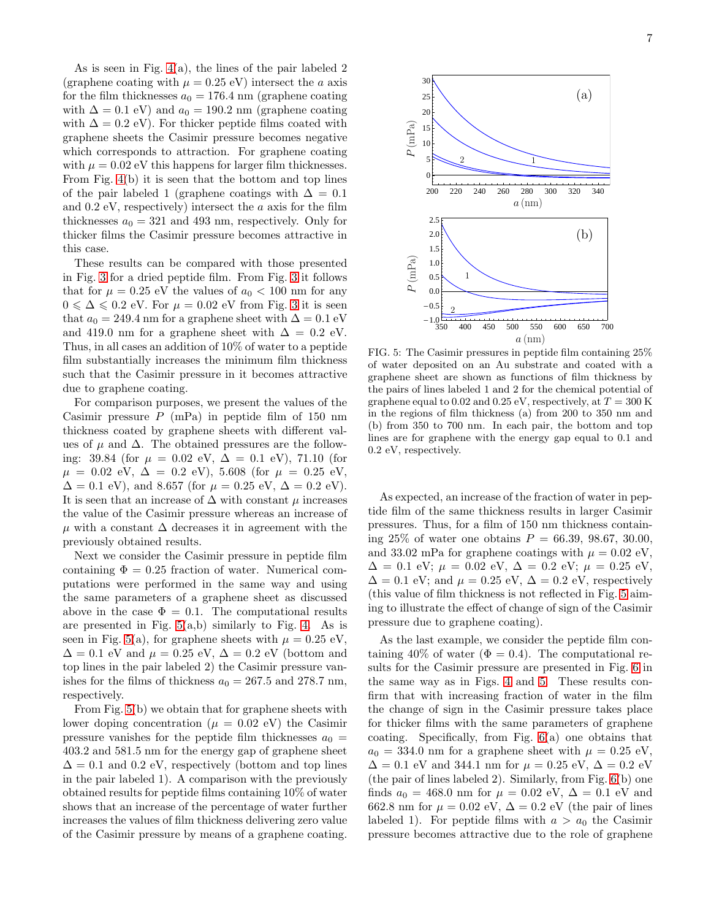As is seen in Fig. [4\(](#page-5-1)a), the lines of the pair labeled 2 (graphene coating with  $\mu = 0.25$  eV) intersect the a axis for the film thicknesses  $a_0 = 176.4$  nm (graphene coating with  $\Delta = 0.1$  eV) and  $a_0 = 190.2$  nm (graphene coating with  $\Delta = 0.2$  eV). For thicker peptide films coated with graphene sheets the Casimir pressure becomes negative which corresponds to attraction. For graphene coating with  $\mu = 0.02$  eV this happens for larger film thicknesses. From Fig. [4\(](#page-5-1)b) it is seen that the bottom and top lines of the pair labeled 1 (graphene coatings with  $\Delta = 0.1$ ) and 0.2 eV, respectively) intersect the a axis for the film thicknesses  $a_0 = 321$  and 493 nm, respectively. Only for thicker films the Casimir pressure becomes attractive in this case.

These results can be compared with those presented in Fig. [3](#page-5-0) for a dried peptide film. From Fig. [3](#page-5-0) it follows that for  $\mu = 0.25$  eV the values of  $a_0 < 100$  nm for any  $0 \le \Delta \le 0.2$  eV. For  $\mu = 0.02$  eV from Fig. [3](#page-5-0) it is seen that  $a_0 = 249.4$  nm for a graphene sheet with  $\Delta = 0.1$  eV and 419.0 nm for a graphene sheet with  $\Delta = 0.2$  eV. Thus, in all cases an addition of 10% of water to a peptide film substantially increases the minimum film thickness such that the Casimir pressure in it becomes attractive due to graphene coating.

For comparison purposes, we present the values of the Casimir pressure  $P$  (mPa) in peptide film of 150 nm thickness coated by graphene sheets with different values of  $\mu$  and  $\Delta$ . The obtained pressures are the following: 39.84 (for  $\mu = 0.02$  eV,  $\Delta = 0.1$  eV), 71.10 (for  $\mu = 0.02$  eV,  $\Delta = 0.2$  eV), 5.608 (for  $\mu = 0.25$  eV,  $\Delta = 0.1$  eV), and 8.657 (for  $\mu = 0.25$  eV,  $\Delta = 0.2$  eV). It is seen that an increase of  $\Delta$  with constant  $\mu$  increases the value of the Casimir pressure whereas an increase of  $\mu$  with a constant  $\Delta$  decreases it in agreement with the previously obtained results.

Next we consider the Casimir pressure in peptide film containing  $\Phi = 0.25$  fraction of water. Numerical computations were performed in the same way and using the same parameters of a graphene sheet as discussed above in the case  $\Phi = 0.1$ . The computational results are presented in Fig.  $5(a,b)$  similarly to Fig. [4.](#page-5-1) As is seen in Fig. [5\(](#page-6-0)a), for graphene sheets with  $\mu = 0.25$  eV,  $\Delta = 0.1$  eV and  $\mu = 0.25$  eV,  $\Delta = 0.2$  eV (bottom and top lines in the pair labeled 2) the Casimir pressure vanishes for the films of thickness  $a_0 = 267.5$  and 278.7 nm, respectively.

From Fig. [5\(](#page-6-0)b) we obtain that for graphene sheets with lower doping concentration ( $\mu = 0.02$  eV) the Casimir pressure vanishes for the peptide film thicknesses  $a_0 =$ 403.2 and 581.5 nm for the energy gap of graphene sheet  $\Delta = 0.1$  and 0.2 eV, respectively (bottom and top lines in the pair labeled 1). A comparison with the previously obtained results for peptide films containing 10% of water shows that an increase of the percentage of water further increases the values of film thickness delivering zero value of the Casimir pressure by means of a graphene coating.



<span id="page-6-0"></span>FIG. 5: The Casimir pressures in peptide film containing 25% of water deposited on an Au substrate and coated with a graphene sheet are shown as functions of film thickness by the pairs of lines labeled 1 and 2 for the chemical potential of graphene equal to 0.02 and 0.25 eV, respectively, at  $T = 300$  K in the regions of film thickness (a) from 200 to 350 nm and (b) from 350 to 700 nm. In each pair, the bottom and top lines are for graphene with the energy gap equal to 0.1 and 0.2 eV, respectively.

As expected, an increase of the fraction of water in peptide film of the same thickness results in larger Casimir pressures. Thus, for a film of 150 nm thickness containing 25% of water one obtains  $P = 66.39, 98.67, 30.00,$ and 33.02 mPa for graphene coatings with  $\mu = 0.02$  eV,  $\Delta = 0.1$  eV;  $\mu = 0.02$  eV,  $\Delta = 0.2$  eV;  $\mu = 0.25$  eV,  $\Delta = 0.1$  eV; and  $\mu = 0.25$  eV,  $\Delta = 0.2$  eV, respectively (this value of film thickness is not reflected in Fig. [5](#page-6-0) aiming to illustrate the effect of change of sign of the Casimir pressure due to graphene coating).

As the last example, we consider the peptide film containing 40% of water ( $\Phi = 0.4$ ). The computational results for the Casimir pressure are presented in Fig. [6](#page-7-0) in the same way as in Figs. [4](#page-5-1) and [5.](#page-6-0) These results confirm that with increasing fraction of water in the film the change of sign in the Casimir pressure takes place for thicker films with the same parameters of graphene coating. Specifically, from Fig. [6\(](#page-7-0)a) one obtains that  $a_0 = 334.0$  nm for a graphene sheet with  $\mu = 0.25$  eV,  $\Delta = 0.1$  eV and 344.1 nm for  $\mu = 0.25$  eV,  $\Delta = 0.2$  eV (the pair of lines labeled 2). Similarly, from Fig. [6\(](#page-7-0)b) one finds  $a_0 = 468.0$  nm for  $\mu = 0.02$  eV,  $\Delta = 0.1$  eV and 662.8 nm for  $\mu = 0.02$  eV,  $\Delta = 0.2$  eV (the pair of lines labeled 1). For peptide films with  $a > a_0$  the Casimir pressure becomes attractive due to the role of graphene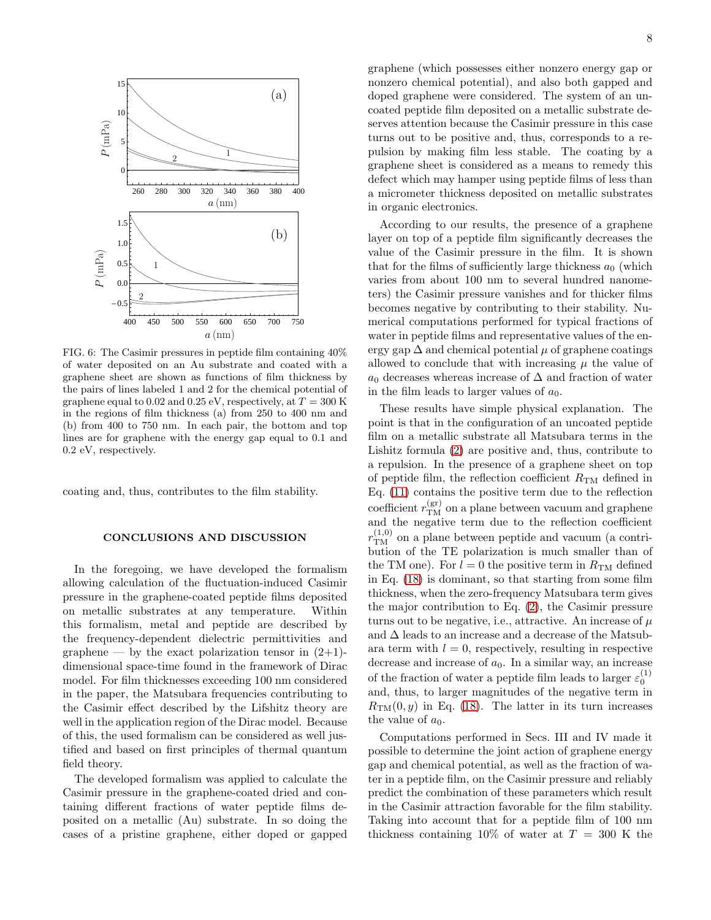

<span id="page-7-0"></span>FIG. 6: The Casimir pressures in peptide film containing 40% of water deposited on an Au substrate and coated with a graphene sheet are shown as functions of film thickness by the pairs of lines labeled 1 and 2 for the chemical potential of graphene equal to 0.02 and 0.25 eV, respectively, at  $T = 300$  K in the regions of film thickness (a) from 250 to 400 nm and (b) from 400 to 750 nm. In each pair, the bottom and top lines are for graphene with the energy gap equal to 0.1 and 0.2 eV, respectively.

coating and, thus, contributes to the film stability.

## CONCLUSIONS AND DISCUSSION

In the foregoing, we have developed the formalism allowing calculation of the fluctuation-induced Casimir pressure in the graphene-coated peptide films deposited on metallic substrates at any temperature. Within this formalism, metal and peptide are described by the frequency-dependent dielectric permittivities and graphene — by the exact polarization tensor in  $(2+1)$ dimensional space-time found in the framework of Dirac model. For film thicknesses exceeding 100 nm considered in the paper, the Matsubara frequencies contributing to the Casimir effect described by the Lifshitz theory are well in the application region of the Dirac model. Because of this, the used formalism can be considered as well justified and based on first principles of thermal quantum field theory.

The developed formalism was applied to calculate the Casimir pressure in the graphene-coated dried and containing different fractions of water peptide films deposited on a metallic (Au) substrate. In so doing the cases of a pristine graphene, either doped or gapped 8

graphene (which possesses either nonzero energy gap or nonzero chemical potential), and also both gapped and doped graphene were considered. The system of an uncoated peptide film deposited on a metallic substrate deserves attention because the Casimir pressure in this case turns out to be positive and, thus, corresponds to a repulsion by making film less stable. The coating by a graphene sheet is considered as a means to remedy this defect which may hamper using peptide films of less than a micrometer thickness deposited on metallic substrates in organic electronics.

According to our results, the presence of a graphene layer on top of a peptide film significantly decreases the value of the Casimir pressure in the film. It is shown that for the films of sufficiently large thickness  $a_0$  (which varies from about 100 nm to several hundred nanometers) the Casimir pressure vanishes and for thicker films becomes negative by contributing to their stability. Numerical computations performed for typical fractions of water in peptide films and representative values of the energy gap  $\Delta$  and chemical potential  $\mu$  of graphene coatings allowed to conclude that with increasing  $\mu$  the value of  $a_0$  decreases whereas increase of  $\Delta$  and fraction of water in the film leads to larger values of  $a_0$ .

These results have simple physical explanation. The point is that in the configuration of an uncoated peptide film on a metallic substrate all Matsubara terms in the Lishitz formula [\(2\)](#page-1-0) are positive and, thus, contribute to a repulsion. In the presence of a graphene sheet on top of peptide film, the reflection coefficient  $R_{\text{TM}}$  defined in Eq. [\(11\)](#page-2-4) contains the positive term due to the reflection coefficient  $r_{\text{TM}}^{\text{(gr)}}$  on a plane between vacuum and graphene and the negative term due to the reflection coefficient  $r_{\rm TM}^{(1,0)}$  on a plane between peptide and vacuum (a contribution of the TE polarization is much smaller than of the TM one). For  $l = 0$  the positive term in  $R_{TM}$  defined in Eq. [\(18\)](#page-3-4) is dominant, so that starting from some film thickness, when the zero-frequency Matsubara term gives the major contribution to Eq. [\(2\)](#page-1-0), the Casimir pressure turns out to be negative, i.e., attractive. An increase of  $\mu$ and  $\Delta$  leads to an increase and a decrease of the Matsubara term with  $l = 0$ , respectively, resulting in respective decrease and increase of  $a_0$ . In a similar way, an increase of the fraction of water a peptide film leads to larger  $\varepsilon_0^{(1)}$ and, thus, to larger magnitudes of the negative term in  $R_{\text{TM}}(0, y)$  in Eq. [\(18\)](#page-3-4). The latter in its turn increases the value of  $a_0$ .

Computations performed in Secs. III and IV made it possible to determine the joint action of graphene energy gap and chemical potential, as well as the fraction of water in a peptide film, on the Casimir pressure and reliably predict the combination of these parameters which result in the Casimir attraction favorable for the film stability. Taking into account that for a peptide film of 100 nm thickness containing 10% of water at  $T = 300$  K the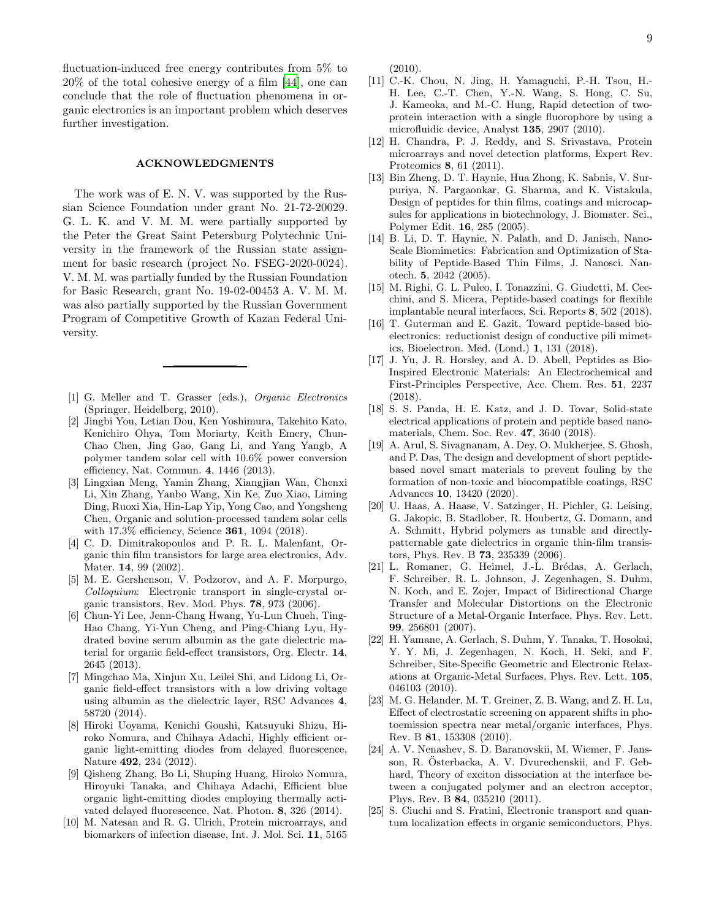fluctuation-induced free energy contributes from 5% to 20% of the total cohesive energy of a film [\[44\]](#page-9-8), one can conclude that the role of fluctuation phenomena in organic electronics is an important problem which deserves further investigation.

#### ACKNOWLEDGMENTS

The work was of E. N. V. was supported by the Russian Science Foundation under grant No. 21-72-20029. G. L. K. and V. M. M. were partially supported by the Peter the Great Saint Petersburg Polytechnic University in the framework of the Russian state assignment for basic research (project No. FSEG-2020-0024). V. M. M. was partially funded by the Russian Foundation for Basic Research, grant No. 19-02-00453 A. V. M. M. was also partially supported by the Russian Government Program of Competitive Growth of Kazan Federal University.

- <span id="page-8-0"></span>[1] G. Meller and T. Grasser (eds.), Organic Electronics (Springer, Heidelberg, 2010).
- <span id="page-8-1"></span>[2] Jingbi You, Letian Dou, Ken Yoshimura, Takehito Kato, Kenichiro Ohya, Tom Moriarty, Keith Emery, Chun-Chao Chen, Jing Gao, Gang Li, and Yang Yangb, A polymer tandem solar cell with 10.6% power conversion efficiency, Nat. Commun. 4, 1446 (2013).
- <span id="page-8-2"></span>[3] Lingxian Meng, Yamin Zhang, Xiangjian Wan, Chenxi Li, Xin Zhang, Yanbo Wang, Xin Ke, Zuo Xiao, Liming Ding, Ruoxi Xia, Hin-Lap Yip, Yong Cao, and Yongsheng Chen, Organic and solution-processed tandem solar cells with 17.3% efficiency, Science 361, 1094 (2018).
- <span id="page-8-3"></span>[4] C. D. Dimitrakopoulos and P. R. L. Malenfant, Organic thin film transistors for large area electronics, Adv. Mater. 14, 99 (2002).
- [5] M. E. Gershenson, V. Podzorov, and A. F. Morpurgo, Colloquium: Electronic transport in single-crystal organic transistors, Rev. Mod. Phys. 78, 973 (2006).
- [6] Chun-Yi Lee, Jenn-Chang Hwang, Yu-Lun Chueh, Ting-Hao Chang, Yi-Yun Cheng, and Ping-Chiang Lyu, Hydrated bovine serum albumin as the gate dielectric material for organic field-effect transistors, Org. Electr. 14, 2645 (2013).
- <span id="page-8-4"></span>[7] Mingchao Ma, Xinjun Xu, Leilei Shi, and Lidong Li, Organic field-effect transistors with a low driving voltage using albumin as the dielectric layer, RSC Advances 4, 58720 (2014).
- <span id="page-8-5"></span>[8] Hiroki Uoyama, Kenichi Goushi, Katsuyuki Shizu, Hiroko Nomura, and Chihaya Adachi, Highly efficient organic light-emitting diodes from delayed fluorescence, Nature 492, 234 (2012).
- <span id="page-8-6"></span>[9] Qisheng Zhang, Bo Li, Shuping Huang, Hiroko Nomura, Hiroyuki Tanaka, and Chihaya Adachi, Efficient blue organic light-emitting diodes employing thermally activated delayed fluorescence, Nat. Photon. 8, 326 (2014).
- <span id="page-8-7"></span>[10] M. Natesan and R. G. Ulrich, Protein microarrays, and biomarkers of infection disease, Int. J. Mol. Sci. 11, 5165

(2010).

- [11] C.-K. Chou, N. Jing, H. Yamaguchi, P.-H. Tsou, H.- H. Lee, C.-T. Chen, Y.-N. Wang, S. Hong, C. Su, J. Kameoka, and M.-C. Hung, Rapid detection of twoprotein interaction with a single fluorophore by using a microfluidic device, Analyst 135, 2907 (2010).
- <span id="page-8-8"></span>[12] H. Chandra, P. J. Reddy, and S. Srivastava, Protein microarrays and novel detection platforms, Expert Rev. Proteomics 8, 61 (2011).
- <span id="page-8-9"></span>[13] Bin Zheng, D. T. Haynie, Hua Zhong, K. Sabnis, V. Surpuriya, N. Pargaonkar, G. Sharma, and K. Vistakula, Design of peptides for thin films, coatings and microcapsules for applications in biotechnology, J. Biomater. Sci., Polymer Edit. 16, 285 (2005).
- [14] B. Li, D. T. Haynie, N. Palath, and D. Janisch, Nano-Scale Biomimetics: Fabrication and Optimization of Stability of Peptide-Based Thin Films, J. Nanosci. Nanotech. 5, 2042 (2005).
- [15] M. Righi, G. L. Puleo, I. Tonazzini, G. Giudetti, M. Cecchini, and S. Micera, Peptide-based coatings for flexible implantable neural interfaces, Sci. Reports 8, 502 (2018).
- [16] T. Guterman and E. Gazit, Toward peptide-based bioelectronics: reductionist design of conductive pili mimetics, Bioelectron. Med. (Lond.) 1, 131 (2018).
- [17] J. Yu, J. R. Horsley, and A. D. Abell, Peptides as Bio-Inspired Electronic Materials: An Electrochemical and First-Principles Perspective, Acc. Chem. Res. 51, 2237 (2018).
- [18] S. S. Panda, H. E. Katz, and J. D. Tovar, Solid-state electrical applications of protein and peptide based nanomaterials, Chem. Soc. Rev. 47, 3640 (2018).
- <span id="page-8-10"></span>[19] A. Arul, S. Sivagnanam, A. Dey, O. Mukherjee, S. Ghosh, and P. Das, The design and development of short peptidebased novel smart materials to prevent fouling by the formation of non-toxic and biocompatible coatings, RSC Advances 10, 13420 (2020).
- <span id="page-8-11"></span>[20] U. Haas, A. Haase, V. Satzinger, H. Pichler, G. Leising, G. Jakopic, B. Stadlober, R. Houbertz, G. Domann, and A. Schmitt, Hybrid polymers as tunable and directlypatternable gate dielectrics in organic thin-film transistors, Phys. Rev. B 73, 235339 (2006).
- [21] L. Romaner, G. Heimel, J.-L. Brédas, A. Gerlach, F. Schreiber, R. L. Johnson, J. Zegenhagen, S. Duhm, N. Koch, and E. Zojer, Impact of Bidirectional Charge Transfer and Molecular Distortions on the Electronic Structure of a Metal-Organic Interface, Phys. Rev. Lett. 99, 256801 (2007).
- [22] H. Yamane, A. Gerlach, S. Duhm, Y. Tanaka, T. Hosokai, Y. Y. Mi, J. Zegenhagen, N. Koch, H. Seki, and F. Schreiber, Site-Specific Geometric and Electronic Relaxations at Organic-Metal Surfaces, Phys. Rev. Lett. 105, 046103 (2010).
- [23] M. G. Helander, M. T. Greiner, Z. B. Wang, and Z. H. Lu, Effect of electrostatic screening on apparent shifts in photoemission spectra near metal/organic interfaces, Phys. Rev. B 81, 153308 (2010).
- [24] A. V. Nenashev, S. D. Baranovskii, M. Wiemer, F. Jansson, R. Österbacka, A. V. Dvurechenskii, and F. Gebhard, Theory of exciton dissociation at the interface between a conjugated polymer and an electron acceptor, Phys. Rev. B 84, 035210 (2011).
- [25] S. Ciuchi and S. Fratini, Electronic transport and quantum localization effects in organic semiconductors, Phys.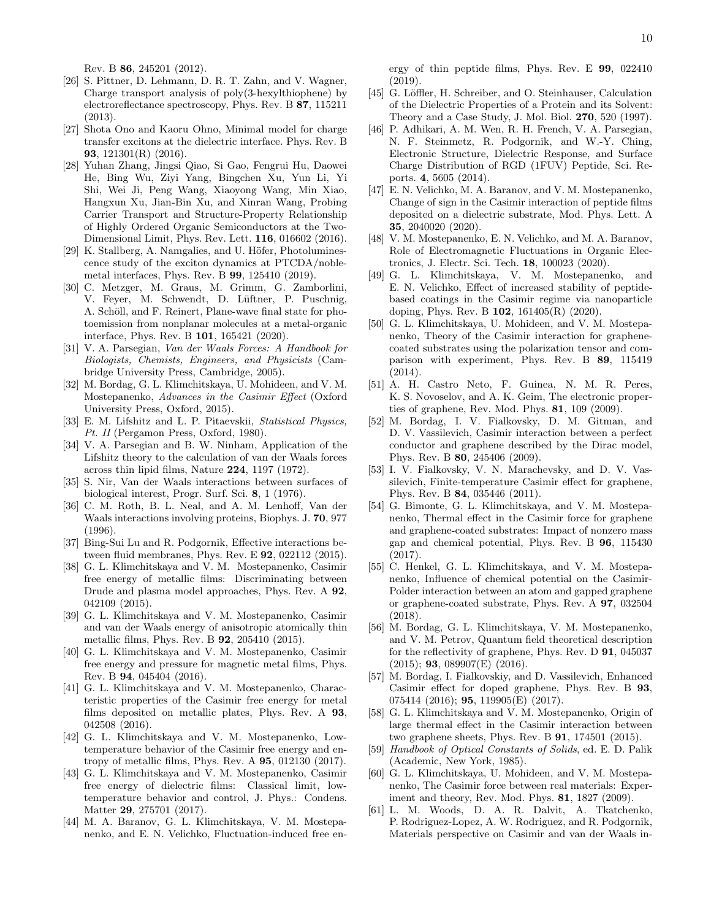Rev. B 86, 245201 (2012).

- [26] S. Pittner, D. Lehmann, D. R. T. Zahn, and V. Wagner, Charge transport analysis of poly(3-hexylthiophene) by electroreflectance spectroscopy, Phys. Rev. B 87, 115211 (2013).
- [27] Shota Ono and Kaoru Ohno, Minimal model for charge transfer excitons at the dielectric interface. Phys. Rev. B 93, 121301(R) (2016).
- [28] Yuhan Zhang, Jingsi Qiao, Si Gao, Fengrui Hu, Daowei He, Bing Wu, Ziyi Yang, Bingchen Xu, Yun Li, Yi Shi, Wei Ji, Peng Wang, Xiaoyong Wang, Min Xiao, Hangxun Xu, Jian-Bin Xu, and Xinran Wang, Probing Carrier Transport and Structure-Property Relationship of Highly Ordered Organic Semiconductors at the Two-Dimensional Limit, Phys. Rev. Lett. 116, 016602 (2016).
- [29] K. Stallberg, A. Namgalies, and U. Höfer, Photoluminescence study of the exciton dynamics at PTCDA/noblemetal interfaces, Phys. Rev. B 99, 125410 (2019).
- <span id="page-9-0"></span>[30] C. Metzger, M. Graus, M. Grimm, G. Zamborlini, V. Feyer, M. Schwendt, D. Lüftner, P. Puschnig, A. Schöll, and F. Reinert, Plane-wave final state for photoemission from nonplanar molecules at a metal-organic interface, Phys. Rev. B 101, 165421 (2020).
- <span id="page-9-1"></span>[31] V. A. Parsegian, Van der Waals Forces: A Handbook for Biologists, Chemists, Engineers, and Physicists (Cambridge University Press, Cambridge, 2005).
- <span id="page-9-2"></span>[32] M. Bordag, G. L. Klimchitskaya, U. Mohideen, and V. M. Mostepanenko, Advances in the Casimir Effect (Oxford University Press, Oxford, 2015).
- <span id="page-9-3"></span>[33] E. M. Lifshitz and L. P. Pitaevskii, Statistical Physics, Pt. II (Pergamon Press, Oxford, 1980).
- <span id="page-9-4"></span>[34] V. A. Parsegian and B. W. Ninham, Application of the Lifshitz theory to the calculation of van der Waals forces across thin lipid films, Nature 224, 1197 (1972).
- [35] S. Nir, Van der Waals interactions between surfaces of biological interest, Progr. Surf. Sci. 8, 1 (1976).
- [36] C. M. Roth, B. L. Neal, and A. M. Lenhoff, Van der Waals interactions involving proteins, Biophys. J. 70, 977 (1996).
- <span id="page-9-5"></span>[37] Bing-Sui Lu and R. Podgornik, Effective interactions between fluid membranes, Phys. Rev. E 92, 022112 (2015).
- <span id="page-9-6"></span>[38] G. L. Klimchitskaya and V. M. Mostepanenko, Casimir free energy of metallic films: Discriminating between Drude and plasma model approaches, Phys. Rev. A 92, 042109 (2015).
- [39] G. L. Klimchitskaya and V. M. Mostepanenko, Casimir and van der Waals energy of anisotropic atomically thin metallic films, Phys. Rev. B 92, 205410 (2015).
- [40] G. L. Klimchitskaya and V. M. Mostepanenko, Casimir free energy and pressure for magnetic metal films, Phys. Rev. B 94, 045404 (2016).
- [41] G. L. Klimchitskaya and V. M. Mostepanenko, Characteristic properties of the Casimir free energy for metal films deposited on metallic plates, Phys. Rev. A 93, 042508 (2016).
- [42] G. L. Klimchitskaya and V. M. Mostepanenko, Lowtemperature behavior of the Casimir free energy and entropy of metallic films, Phys. Rev. A 95, 012130 (2017).
- <span id="page-9-7"></span>[43] G. L. Klimchitskaya and V. M. Mostepanenko, Casimir free energy of dielectric films: Classical limit, lowtemperature behavior and control, J. Phys.: Condens. Matter 29, 275701 (2017).
- <span id="page-9-8"></span>[44] M. A. Baranov, G. L. Klimchitskaya, V. M. Mostepanenko, and E. N. Velichko, Fluctuation-induced free en-

ergy of thin peptide films, Phys. Rev. E 99, 022410 (2019).

- <span id="page-9-9"></span>[45] G. Löffler, H. Schreiber, and O. Steinhauser, Calculation of the Dielectric Properties of a Protein and its Solvent: Theory and a Case Study, J. Mol. Biol. 270, 520 (1997).
- <span id="page-9-10"></span>[46] P. Adhikari, A. M. Wen, R. H. French, V. A. Parsegian, N. F. Steinmetz, R. Podgornik, and W.-Y. Ching, Electronic Structure, Dielectric Response, and Surface Charge Distribution of RGD (1FUV) Peptide, Sci. Reports. 4, 5605 (2014).
- <span id="page-9-11"></span>[47] E. N. Velichko, M. A. Baranov, and V. M. Mostepanenko, Change of sign in the Casimir interaction of peptide films deposited on a dielectric substrate, Mod. Phys. Lett. A 35, 2040020 (2020).
- <span id="page-9-12"></span>[48] V. M. Mostepanenko, E. N. Velichko, and M. A. Baranov, Role of Electromagnetic Fluctuations in Organic Electronics, J. Electr. Sci. Tech. 18, 100023 (2020).
- <span id="page-9-13"></span>[49] G. L. Klimchitskaya, V. M. Mostepanenko, and E. N. Velichko, Effect of increased stability of peptidebased coatings in the Casimir regime via nanoparticle doping, Phys. Rev. B 102, 161405(R) (2020).
- <span id="page-9-14"></span>[50] G. L. Klimchitskaya, U. Mohideen, and V. M. Mostepanenko, Theory of the Casimir interaction for graphenecoated substrates using the polarization tensor and comparison with experiment, Phys. Rev. B 89, 115419 (2014).
- <span id="page-9-15"></span>[51] A. H. Castro Neto, F. Guinea, N. M. R. Peres, K. S. Novoselov, and A. K. Geim, The electronic properties of graphene, Rev. Mod. Phys. 81, 109 (2009).
- <span id="page-9-16"></span>[52] M. Bordag, I. V. Fialkovsky, D. M. Gitman, and D. V. Vassilevich, Casimir interaction between a perfect conductor and graphene described by the Dirac model, Phys. Rev. B 80, 245406 (2009).
- <span id="page-9-17"></span>[53] I. V. Fialkovsky, V. N. Marachevsky, and D. V. Vassilevich, Finite-temperature Casimir effect for graphene, Phys. Rev. B 84, 035446 (2011).
- <span id="page-9-18"></span>[54] G. Bimonte, G. L. Klimchitskaya, and V. M. Mostepanenko, Thermal effect in the Casimir force for graphene and graphene-coated substrates: Impact of nonzero mass gap and chemical potential, Phys. Rev. B 96, 115430 (2017).
- <span id="page-9-19"></span>[55] C. Henkel, G. L. Klimchitskaya, and V. M. Mostepanenko, Influence of chemical potential on the Casimir-Polder interaction between an atom and gapped graphene or graphene-coated substrate, Phys. Rev. A 97, 032504 (2018).
- <span id="page-9-20"></span>[56] M. Bordag, G. L. Klimchitskaya, V. M. Mostepanenko, and V. M. Petrov, Quantum field theoretical description for the reflectivity of graphene, Phys. Rev. D 91, 045037 (2015); 93, 089907(E) (2016).
- <span id="page-9-21"></span>[57] M. Bordag, I. Fialkovskiy, and D. Vassilevich, Enhanced Casimir effect for doped graphene, Phys. Rev. B 93, 075414 (2016); **95**, 119905(E) (2017).
- <span id="page-9-22"></span>[58] G. L. Klimchitskaya and V. M. Mostepanenko, Origin of large thermal effect in the Casimir interaction between two graphene sheets, Phys. Rev. B 91, 174501 (2015).
- <span id="page-9-23"></span>[59] Handbook of Optical Constants of Solids, ed. E. D. Palik (Academic, New York, 1985).
- <span id="page-9-24"></span>[60] G. L. Klimchitskaya, U. Mohideen, and V. M. Mostepanenko, The Casimir force between real materials: Experiment and theory, Rev. Mod. Phys. 81, 1827 (2009).
- <span id="page-9-25"></span>[61] L. M. Woods, D. A. R. Dalvit, A. Tkatchenko, P. Rodriguez-Lopez, A. W. Rodriguez, and R. Podgornik, Materials perspective on Casimir and van der Waals in-